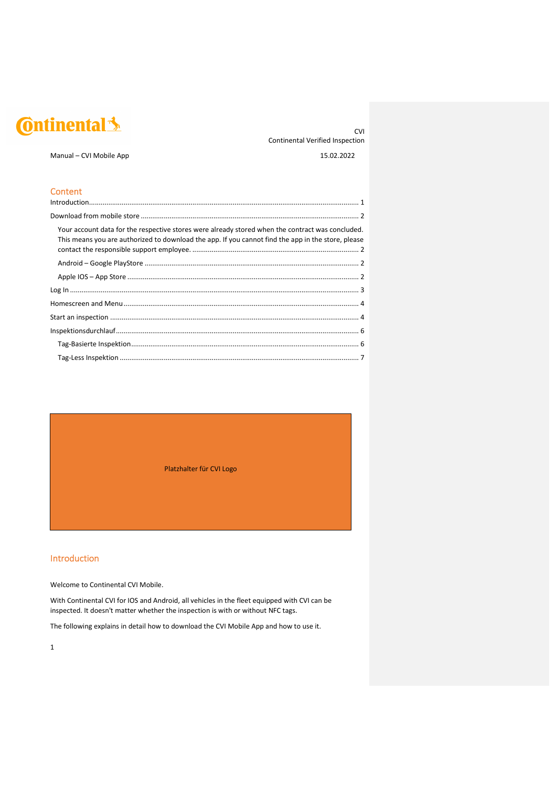## **C**ntinental 3

**Content** 

CVI Continental Verified Inspection

Manual – CVI Mobile App 15.02.2022

| Your account data for the respective stores were already stored when the contract was concluded.<br>This means you are authorized to download the app. If you cannot find the app in the store, please |
|--------------------------------------------------------------------------------------------------------------------------------------------------------------------------------------------------------|
|                                                                                                                                                                                                        |
|                                                                                                                                                                                                        |
|                                                                                                                                                                                                        |
|                                                                                                                                                                                                        |
|                                                                                                                                                                                                        |
|                                                                                                                                                                                                        |
|                                                                                                                                                                                                        |
|                                                                                                                                                                                                        |

Platzhalter für CVI Logo

#### Introduction

Welcome to Continental CVI Mobile.

With Continental CVI for IOS and Android, all vehicles in the fleet equipped with CVI can be inspected. It doesn't matter whether the inspection is with or without NFC tags.

The following explains in detail how to download the CVI Mobile App and how to use it.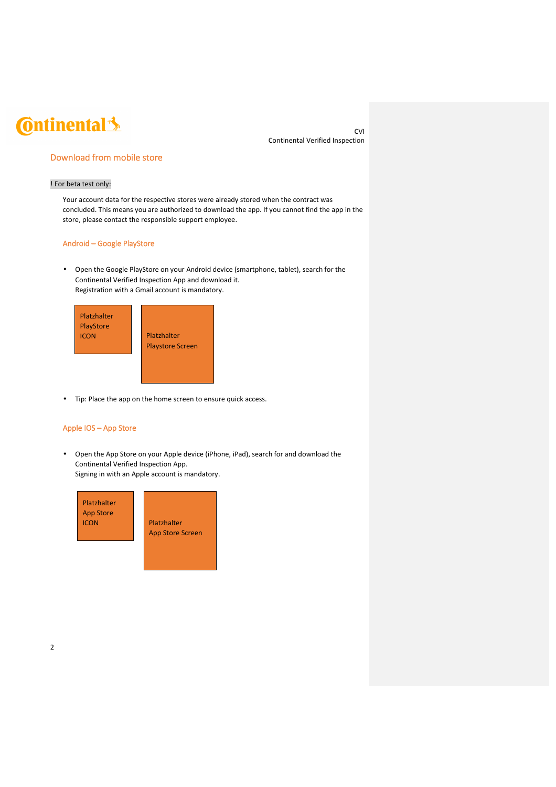CVI Continental Verified Inspection

### Download from mobile store

#### ! For beta test only:

Your account data for the respective stores were already stored when the contract was concluded. This means you are authorized to download the app. If you cannot find the app in the store, please contact the responsible support employee.

#### Android – Google PlayStore

• Open the Google PlayStore on your Android device (smartphone, tablet), search for the Continental Verified Inspection App and download it. Registration with a Gmail account is mandatory.



• Tip: Place the app on the home screen to ensure quick access.

#### Apple IOS – App Store

• Open the App Store on your Apple device (iPhone, iPad), search for and download the Continental Verified Inspection App. Signing in with an Apple account is mandatory.

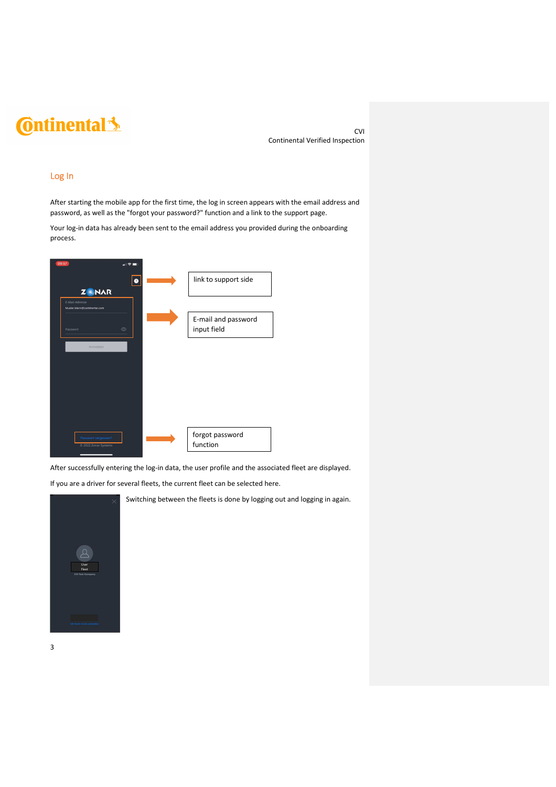CVI Continental Verified Inspection

#### Log In

After starting the mobile app for the first time, the log in screen appears with the email address and password, as well as the "forgot your password?" function and a link to the support page.

Your log-in data has already been sent to the email address you provided during the onboarding process.



After successfully entering the log-in data, the user profile and the associated fleet are displayed.

If you are a driver for several fleets, the current fleet can be selected here.



Switching between the fleets is done by logging out and logging in again.

3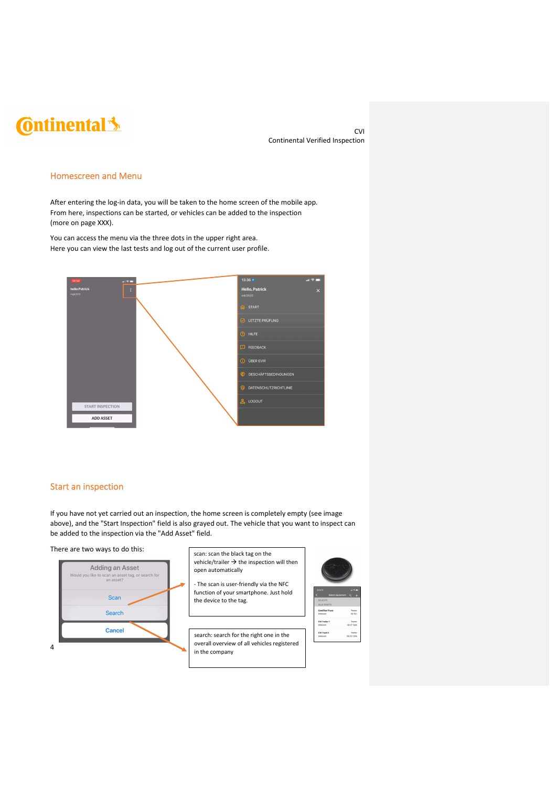CVI Continental Verified Inspection

#### Homescreen and Menu

After entering the log-in data, you will be taken to the home screen of the mobile app. From here, inspections can be started, or vehicles can be added to the inspection (more on page XXX).

You can access the menu via the three dots in the upper right area. Here you can view the last tests and log out of the current user profile.



### Start an inspection

If you have not yet carried out an inspection, the home screen is completely empty (see image above), and the "Start Inspection" field is also grayed out. The vehicle that you want to inspect can be added to the inspection via the "Add Asset" field.

There are two ways to do this:



- scan: scan the black tag on the vehicle/trailer  $\rightarrow$  the inspection will then open automatically
- The scan is user-friendly via the NFC function of your smartphone. Just hold the device to the tag.





search: search for the right one in the overall overview of all vehicles registered in the company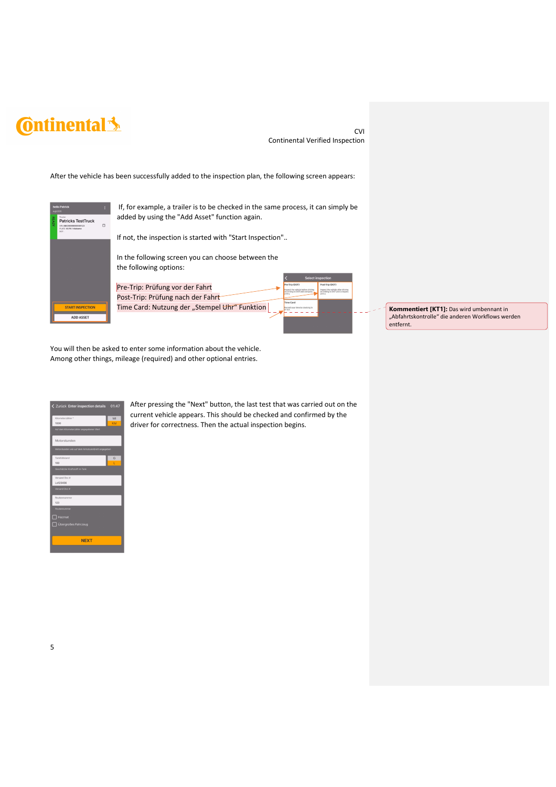CVI Continental Verified Inspection

After the vehicle has been successfully added to the inspection plan, the following screen appears:



 If, for example, a trailer is to be checked in the same process, it can simply be added by using the "Add Asset" function again.

If not, the inspection is started with "Start Inspection"..



Pre-Trip: Prüfung vor der Fahrt Post-Trip: Prüfung nach der Fahrt Time Card: Nutzung der "Stempel Uhr" Funktion



**Kommentiert [KT1]:** Das wird umbennant in "Abfahrtskontrolle" die anderen Workflows werden entfernt.

You will then be asked to enter some information about the vehicle. Among other things, mileage (required) and other optional entries.



After pressing the "Next" button, the last test that was carried out on the current vehicle appears. This should be checked and confirmed by the driver for correctness. Then the actual inspection begins.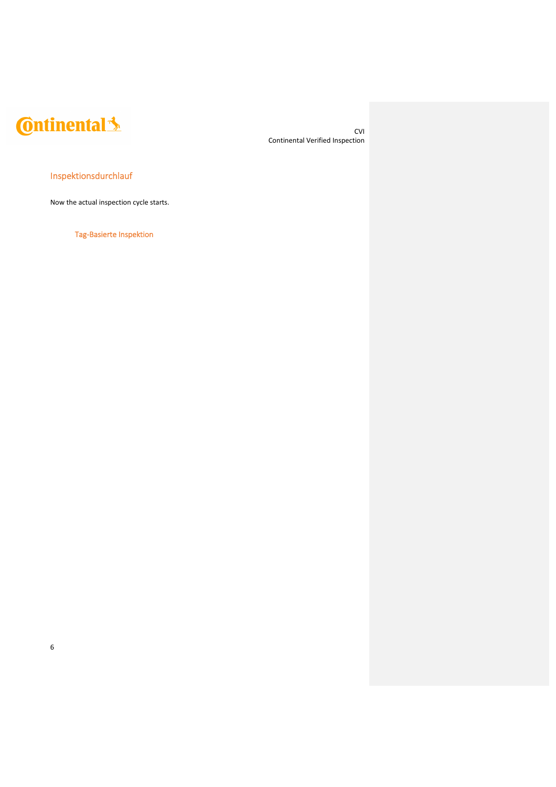CVI Continental Verified Inspection

### Inspektionsdurchlauf

Now the actual inspection cycle starts.

Tag-Basierte Inspektion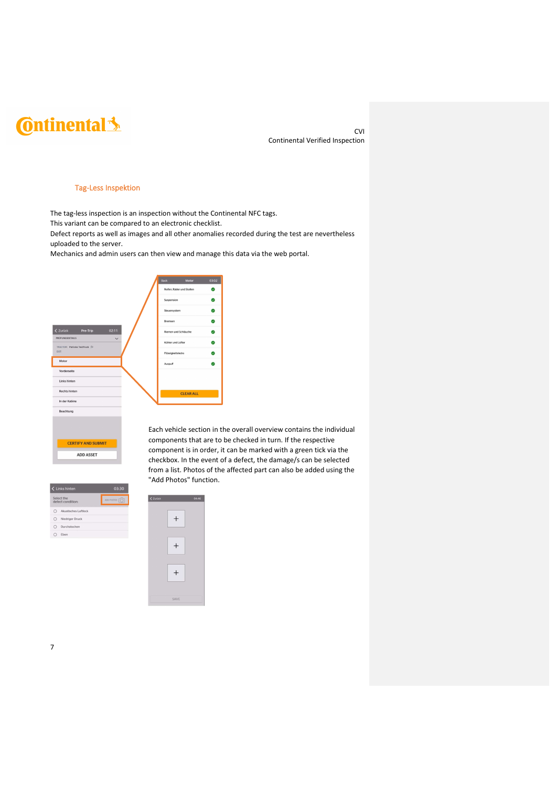CVI Continental Verified Inspection

#### Tag-Less Inspektion

The tag-less inspection is an inspection without the Continental NFC tags.

This variant can be compared to an electronic checklist.

Defect reports as well as images and all other anomalies recorded during the test are nevertheless uploaded to the server.

Mechanics and admin users can then view and manage this data via the web portal.

|                                        |                            | <b>Back</b>                             | Motor                   | 03:02 |
|----------------------------------------|----------------------------|-----------------------------------------|-------------------------|-------|
|                                        |                            | Reifen, Räder und Stollen<br>Suspension |                         | 21    |
|                                        |                            |                                         |                         | 9     |
|                                        |                            | Steuersystem                            |                         | 9     |
|                                        |                            | Bremsen                                 |                         | U.    |
| 02:11<br>< Zurück<br>Pre-Trip          |                            |                                         | Riemen und Schläuche    | 5     |
| <b>PRÜFUNGSDETAILS</b><br>$\checkmark$ |                            | Kühler und Lüfter                       |                         | 9     |
| TRACTOR: Patricks TestTruck FJ<br>DOT: |                            | Flüssigkeitslecks                       |                         |       |
| Motor                                  |                            | Auspuff                                 |                         |       |
| Vorderseite                            |                            |                                         |                         |       |
| Links hinten                           |                            |                                         |                         |       |
| <b>Rechts hinten</b>                   |                            | <b>CLEAR ALL</b>                        |                         |       |
| In der Kabine                          |                            |                                         |                         |       |
| Beachtung                              |                            |                                         |                         |       |
|                                        |                            |                                         | Each vehicle section in |       |
| <b>CERTIFY AND SUBMIT</b>              | components that are t<br>. |                                         |                         |       |

I the overall overview contains the individual to be checked in turn. If the respective component is in order, it can be marked with a green tick via the checkbox. In the event of a defect, the damage/s can be selected from a list. Photos of the affected part can also be added using the "Add Photos" function.



**ADD ASSET** 

 $\zeta$  Zurück 04:46  $\boldsymbol{+}$  $\, +$  $\boldsymbol{+}$